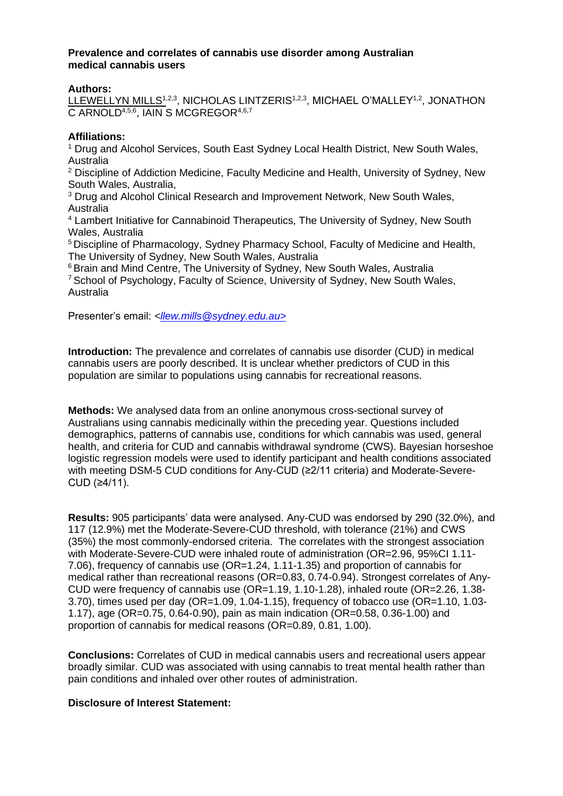## **Prevalence and correlates of cannabis use disorder among Australian medical cannabis users**

## **Authors:**

LLEWELLYN MILLS<sup>1,2,3</sup>, NICHOLAS LINTZERIS<sup>1,2,3</sup>, MICHAEL O'MALLEY<sup>1,2</sup>. JONATHON C ARNOLD<sup>4,5,6</sup>, IAIN S MCGREGOR<sup>4,6,7</sup>

## **Affiliations:**

<sup>1</sup> Drug and Alcohol Services, South East Sydney Local Health District, New South Wales, Australia

<sup>2</sup> Discipline of Addiction Medicine, Faculty Medicine and Health, University of Sydney, New South Wales, Australia,

<sup>3</sup> Drug and Alcohol Clinical Research and Improvement Network, New South Wales, Australia

<sup>4</sup> Lambert Initiative for Cannabinoid Therapeutics, The University of Sydney, New South Wales, Australia

<sup>5</sup>Discipline of Pharmacology, Sydney Pharmacy School, Faculty of Medicine and Health, The University of Sydney, New South Wales, Australia

<sup>6</sup> Brain and Mind Centre, The University of Sydney, New South Wales, Australia <sup>7</sup> School of Psychology, Faculty of Science, University of Sydney, New South Wales, Australia

Presenter's email: *<llew.mills@sydney.edu.au>*

**Introduction:** The prevalence and correlates of cannabis use disorder (CUD) in medical cannabis users are poorly described. It is unclear whether predictors of CUD in this population are similar to populations using cannabis for recreational reasons.

**Methods:** We analysed data from an online anonymous cross-sectional survey of Australians using cannabis medicinally within the preceding year. Questions included demographics, patterns of cannabis use, conditions for which cannabis was used, general health, and criteria for CUD and cannabis withdrawal syndrome (CWS). Bayesian horseshoe logistic regression models were used to identify participant and health conditions associated with meeting DSM-5 CUD conditions for Any-CUD (≥2/11 criteria) and Moderate-Severe-CUD (≥4/11).

**Results:** 905 participants' data were analysed. Any-CUD was endorsed by 290 (32.0%), and 117 (12.9%) met the Moderate-Severe-CUD threshold, with tolerance (21%) and CWS (35%) the most commonly-endorsed criteria. The correlates with the strongest association with Moderate-Severe-CUD were inhaled route of administration (OR=2.96, 95%CI 1.11- 7.06), frequency of cannabis use (OR=1.24, 1.11-1.35) and proportion of cannabis for medical rather than recreational reasons (OR=0.83, 0.74-0.94). Strongest correlates of Any-CUD were frequency of cannabis use (OR=1.19, 1.10-1.28), inhaled route (OR=2.26, 1.38- 3.70), times used per day (OR=1.09, 1.04-1.15), frequency of tobacco use (OR=1.10, 1.03- 1.17), age (OR=0.75, 0.64-0.90), pain as main indication (OR=0.58, 0.36-1.00) and proportion of cannabis for medical reasons (OR=0.89, 0.81, 1.00).

**Conclusions:** Correlates of CUD in medical cannabis users and recreational users appear broadly similar. CUD was associated with using cannabis to treat mental health rather than pain conditions and inhaled over other routes of administration.

## **Disclosure of Interest Statement:**